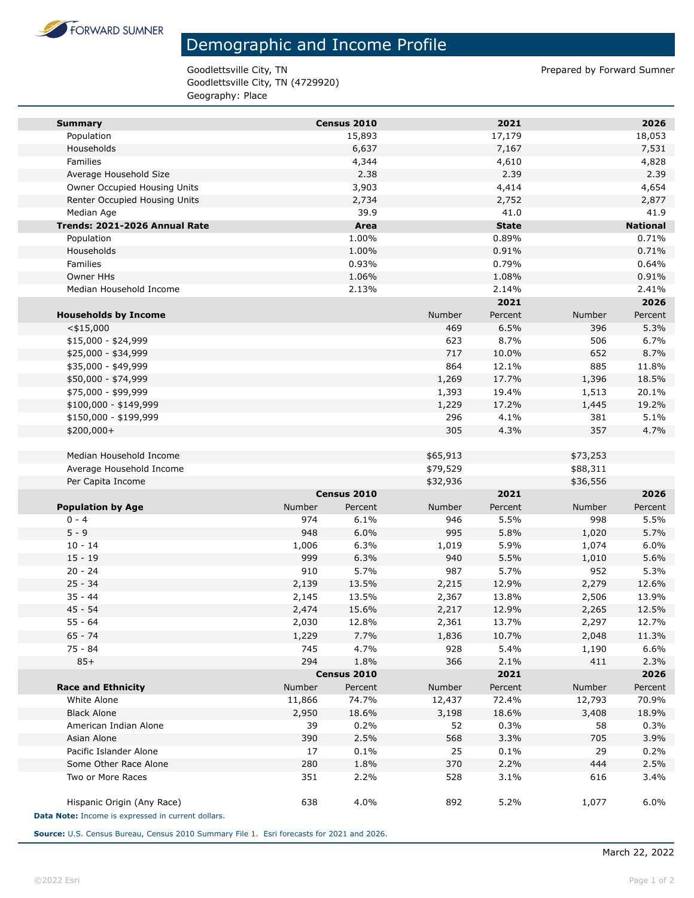

## Demographic and Income Profile

Goodlettsville City, TN Prepared by Forward Sumner Goodlettsville City, TN (4729920) Geography: Place

| <b>Summary</b>                                     |        | Census 2010 |          | 2021         |          | 2026            |
|----------------------------------------------------|--------|-------------|----------|--------------|----------|-----------------|
| Population                                         |        | 15,893      |          | 17,179       |          | 18,053          |
| Households                                         |        | 6,637       |          | 7,167        |          | 7,531           |
| Families                                           |        | 4,344       |          | 4,610        |          | 4,828           |
| Average Household Size                             |        | 2.38        |          | 2.39         |          | 2.39            |
| Owner Occupied Housing Units                       |        | 3,903       |          | 4,414        |          | 4,654           |
| Renter Occupied Housing Units                      |        | 2,734       |          | 2,752        |          | 2,877           |
| Median Age                                         |        | 39.9        |          | 41.0         |          | 41.9            |
| Trends: 2021-2026 Annual Rate                      |        | Area        |          | <b>State</b> |          | <b>National</b> |
| Population                                         |        | 1.00%       |          | 0.89%        |          | 0.71%           |
| Households                                         |        | 1.00%       |          | 0.91%        |          | 0.71%           |
| Families                                           |        | 0.93%       |          | 0.79%        |          | 0.64%           |
| <b>Owner HHs</b>                                   |        | 1.06%       |          | 1.08%        |          | 0.91%           |
| Median Household Income                            |        | 2.13%       |          | 2.14%        |          | 2.41%           |
|                                                    |        |             |          | 2021         |          | 2026            |
| <b>Households by Income</b>                        |        |             | Number   | Percent      | Number   | Percent         |
| $<$ \$15,000                                       |        |             | 469      | 6.5%         | 396      | 5.3%            |
| $$15,000 - $24,999$                                |        |             | 623      | 8.7%         | 506      | 6.7%            |
| \$25,000 - \$34,999                                |        |             | 717      | 10.0%        | 652      | 8.7%            |
| \$35,000 - \$49,999                                |        |             | 864      | 12.1%        | 885      | 11.8%           |
| \$50,000 - \$74,999                                |        |             | 1,269    | 17.7%        | 1,396    | 18.5%           |
| \$75,000 - \$99,999                                |        |             | 1,393    | 19.4%        | 1,513    | 20.1%           |
| \$100,000 - \$149,999                              |        |             | 1,229    | 17.2%        | 1,445    | 19.2%           |
| \$150,000 - \$199,999                              |        |             | 296      | 4.1%         | 381      | 5.1%            |
| \$200,000+                                         |        |             | 305      | 4.3%         | 357      | 4.7%            |
|                                                    |        |             |          |              |          |                 |
| Median Household Income                            |        |             | \$65,913 |              | \$73,253 |                 |
| Average Household Income                           |        |             | \$79,529 |              | \$88,311 |                 |
| Per Capita Income                                  |        | Census 2010 | \$32,936 | 2021         | \$36,556 | 2026            |
| <b>Population by Age</b>                           | Number | Percent     | Number   | Percent      | Number   | Percent         |
| $0 - 4$                                            | 974    | 6.1%        | 946      | 5.5%         | 998      | 5.5%            |
| $5 - 9$                                            | 948    | 6.0%        | 995      | 5.8%         | 1,020    | 5.7%            |
| $10 - 14$                                          | 1,006  | 6.3%        | 1,019    | 5.9%         | 1,074    | 6.0%            |
| $15 - 19$                                          | 999    | 6.3%        | 940      | 5.5%         | 1,010    | 5.6%            |
| $20 - 24$                                          | 910    | 5.7%        | 987      | 5.7%         | 952      | 5.3%            |
| $25 - 34$                                          | 2,139  | 13.5%       | 2,215    | 12.9%        | 2,279    | 12.6%           |
| $35 - 44$                                          | 2,145  | 13.5%       | 2,367    | 13.8%        | 2,506    | 13.9%           |
| $45 - 54$                                          | 2,474  | 15.6%       | 2,217    | 12.9%        | 2,265    | 12.5%           |
| $55 - 64$                                          | 2,030  | 12.8%       | 2,361    | 13.7%        | 2,297    | 12.7%           |
| $65 - 74$                                          | 1,229  | 7.7%        | 1,836    | 10.7%        | 2,048    | 11.3%           |
| 75 - 84                                            | 745    | 4.7%        | 928      | 5.4%         | 1,190    | 6.6%            |
| $85+$                                              | 294    | 1.8%        | 366      | 2.1%         | 411      | 2.3%            |
|                                                    |        | Census 2010 |          | 2021         |          | 2026            |
| <b>Race and Ethnicity</b>                          | Number | Percent     | Number   | Percent      | Number   | Percent         |
| White Alone                                        | 11,866 | 74.7%       | 12,437   | 72.4%        | 12,793   | 70.9%           |
| <b>Black Alone</b>                                 | 2,950  | 18.6%       | 3,198    | 18.6%        | 3,408    | 18.9%           |
| American Indian Alone                              | 39     | 0.2%        | 52       | 0.3%         | 58       | 0.3%            |
| Asian Alone                                        | 390    | 2.5%        | 568      | 3.3%         | 705      | 3.9%            |
| Pacific Islander Alone                             | 17     | 0.1%        | 25       | 0.1%         | 29       | 0.2%            |
| Some Other Race Alone                              | 280    | 1.8%        | 370      | 2.2%         | 444      | 2.5%            |
| Two or More Races                                  | 351    | 2.2%        | 528      | 3.1%         | 616      | 3.4%            |
|                                                    |        |             |          |              |          |                 |
| Hispanic Origin (Any Race)                         | 638    | 4.0%        | 892      | 5.2%         | 1,077    | 6.0%            |
| Data Note: Income is expressed in current dollars. |        |             |          |              |          |                 |

**Source:** U.S. Census Bureau, Census 2010 Summary File 1. Esri forecasts for 2021 and 2026.